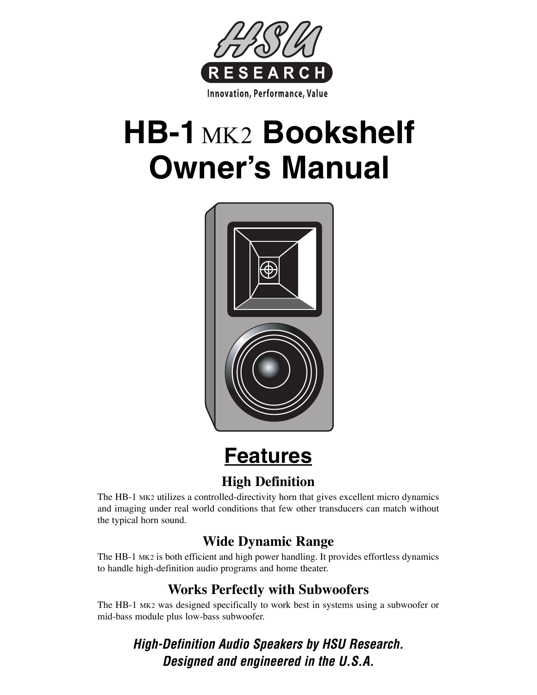

# **HB-1** MK2 **Bookshelf Owner's Manual**



# **Features**

#### **High Definition**

The HB-1 MK2 utilizes a controlled-directivity horn that gives excellent micro dynamics and imaging under real world conditions that few other transducers can match without the typical horn sound.

#### **Wide Dynamic Range**

The HB-1 MK2 is both efficient and high power handling. It provides effortless dynamics to handle high-definition audio programs and home theater.

#### **Works Perfectly with Subwoofers**

The HB-1 MK2 was designed specifically to work best in systems using a subwoofer or mid-bass module plus low-bass subwoofer.

> *High-Definition Audio Speakers by HSU Research. Designed and engineered in the U.S.A.*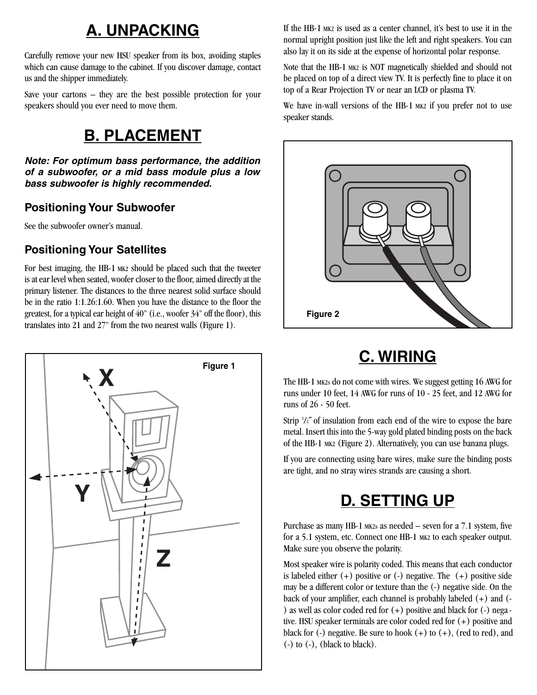## **A. UNPACKING**

Carefully remove your new HSU speaker from its box, avoiding staples which can cause damage to the cabinet. If you discover damage, contact us and the shipper immediately.

Save your cartons – they are the best possible protection for your speakers should you ever need to move them.

# **B. PLACEMENT**

*Note: For optimum bass performance, the addition of a subwoofer, or a mid bass module plus a low bass subwoofer is highly recommended.*

#### **Positioning Your Subwoofer**

See the subwoofer owner's manual.

#### **Positioning Your Satellites**

For best imaging, the HB-1 MK2 should be placed such that the tweeter is at ear level when seated, woofer closer to the floor, aimed directly at the primary listener. The distances to the three nearest solid surface should be in the ratio 1:1.26:1.60. When you have the distance to the floor the greatest, for a typical ear height of 40" (i.e., woofer 34" off the floor), this translates into 21 and 27" from the two nearest walls (Figure 1).



If the HB-1 MK2 is used as a center channel, it's best to use it in the normal upright position just like the left and right speakers. You can also lay it on its side at the expense of horizontal polar response.

Note that the HB-1 MK2 is NOT magnetically shielded and should not be placed on top of a direct view TV. It is perfectly fine to place it on top of a Rear Projection TV or near an LCD or plasma TV.

We have in-wall versions of the HB-1 MK2 if you prefer not to use speaker stands.



# **C. WIRING**

The HB-1 MK2s do not come with wires. We suggest getting 16 AWG for runs under 10 feet, 14 AWG for runs of 10 - 25 feet, and 12 AWG for runs of 26 - 50 feet.

Strip '/2" of insulation from each end of the wire to expose the bare metal. Insert this into the 5-way gold plated binding posts on the back of the HB-1 MK2 (Figure 2). Alternatively, you can use banana plugs.

If you are connecting using bare wires, make sure the binding posts are tight, and no stray wires strands are causing a short.

# **D. SETTING UP**

Purchase as many HB-1 MK2s as needed – seven for a 7.1 system, five for a 5.1 system, etc. Connect one HB-1 MK2 to each speaker output. Make sure you observe the polarity.

Most speaker wire is polarity coded. This means that each conductor is labeled either  $(+)$  positive or  $(-)$  negative. The  $(+)$  positive side may be a different color or texture than the (-) negative side. On the back of your amplifier, each channel is probably labeled (+) and (- ) as well as color coded red for  $(+)$  positive and black for  $(-)$  negative. HSU speaker terminals are color coded red for (+) positive and black for  $(-)$  negative. Be sure to hook  $(+)$  to  $(+)$ , (red to red), and  $\left(\frac{\ }{\ }$  to  $\left(\frac{\ }{\ }{\right)}\right)$ , (black to black).